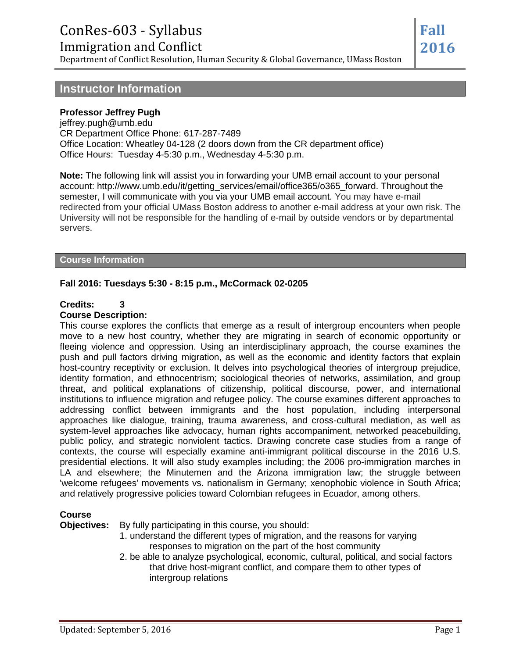# ConRes-603 - Syllabus

Immigration and Conflict

Department of Conflict Resolution, Human Security & Global Governance, UMass Boston

#### **Instructor Information**

#### **Professor Jeffrey Pugh**

jeffrey.pugh@umb.edu CR Department Office Phone: 617-287-7489 Office Location: Wheatley 04-128 (2 doors down from the CR department office) Office Hours: Tuesday 4-5:30 p.m., Wednesday 4-5:30 p.m.

**Note:** The following link will assist you in forwarding your UMB email account to your personal account: http://www.umb.edu/it/getting\_services/email/office365/o365\_forward. Throughout the semester, I will communicate with you via your UMB email account. You may have e-mail redirected from your official UMass Boston address to another e-mail address at your own risk. The University will not be responsible for the handling of e-mail by outside vendors or by departmental servers.

#### **Course Information**

#### **Fall 2016: Tuesdays 5:30 - 8:15 p.m., McCormack 02-0205**

#### **Credits: 3**

#### **Course Description:**

This course explores the conflicts that emerge as a result of intergroup encounters when people move to a new host country, whether they are migrating in search of economic opportunity or fleeing violence and oppression. Using an interdisciplinary approach, the course examines the push and pull factors driving migration, as well as the economic and identity factors that explain host-country receptivity or exclusion. It delves into psychological theories of intergroup prejudice, identity formation, and ethnocentrism; sociological theories of networks, assimilation, and group threat, and political explanations of citizenship, political discourse, power, and international institutions to influence migration and refugee policy. The course examines different approaches to addressing conflict between immigrants and the host population, including interpersonal approaches like dialogue, training, trauma awareness, and cross-cultural mediation, as well as system-level approaches like advocacy, human rights accompaniment, networked peacebuilding, public policy, and strategic nonviolent tactics. Drawing concrete case studies from a range of contexts, the course will especially examine anti-immigrant political discourse in the 2016 U.S. presidential elections. It will also study examples including; the 2006 pro-immigration marches in LA and elsewhere; the Minutemen and the Arizona immigration law; the struggle between 'welcome refugees' movements vs. nationalism in Germany; xenophobic violence in South Africa; and relatively progressive policies toward Colombian refugees in Ecuador, among others.

#### **Course**

**Objectives:** By fully participating in this course, you should:

- 1. understand the different types of migration, and the reasons for varying responses to migration on the part of the host community
- 2. be able to analyze psychological, economic, cultural, political, and social factors that drive host-migrant conflict, and compare them to other types of intergroup relations

**Fall 2016**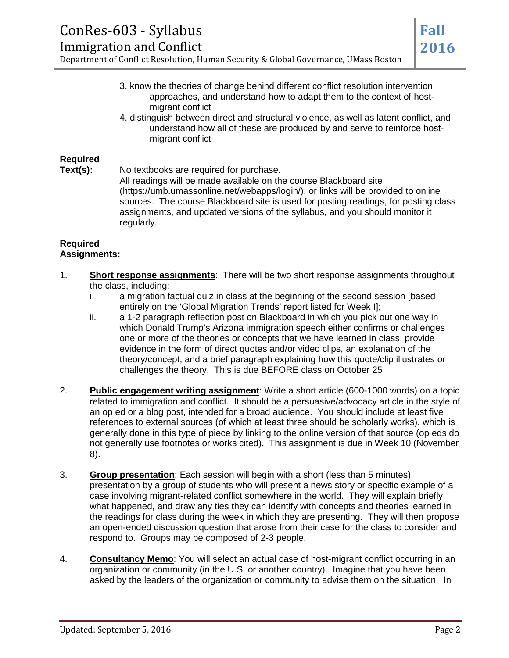#### ConRes-603 - Syllabus Immigration and Conflict Department of Conflict Resolution, Human Security & Global Governance, UMass Boston **Fall 2016**

- 3. know the theories of change behind different conflict resolution intervention approaches, and understand how to adapt them to the context of hostmigrant conflict
- 4. distinguish between direct and structural violence, as well as latent conflict, and understand how all of these are produced by and serve to reinforce hostmigrant conflict

#### **Required**

**Text(s):** No textbooks are required for purchase.

All readings will be made available on the course Blackboard site (https://umb.umassonline.net/webapps/login/), or links will be provided to online sources. The course Blackboard site is used for posting readings, for posting class assignments, and updated versions of the syllabus, and you should monitor it regularly.

#### **Required Assignments:**

- 1. **Short response assignments**: There will be two short response assignments throughout the class, including:
	- i. a migration factual quiz in class at the beginning of the second session [based entirely on the 'Global Migration Trends' report listed for Week I];
	- ii. a 1-2 paragraph reflection post on Blackboard in which you pick out one way in which Donald Trump's Arizona immigration speech either confirms or challenges one or more of the theories or concepts that we have learned in class; provide evidence in the form of direct quotes and/or video clips, an explanation of the theory/concept, and a brief paragraph explaining how this quote/clip illustrates or challenges the theory. This is due BEFORE class on October 25
- 2. **Public engagement writing assignment**: Write a short article (600-1000 words) on a topic related to immigration and conflict. It should be a persuasive/advocacy article in the style of an op ed or a blog post, intended for a broad audience. You should include at least five references to external sources (of which at least three should be scholarly works), which is generally done in this type of piece by linking to the online version of that source (op eds do not generally use footnotes or works cited). This assignment is due in Week 10 (November 8).
- 3. **Group presentation**: Each session will begin with a short (less than 5 minutes) presentation by a group of students who will present a news story or specific example of a case involving migrant-related conflict somewhere in the world. They will explain briefly what happened, and draw any ties they can identify with concepts and theories learned in the readings for class during the week in which they are presenting. They will then propose an open-ended discussion question that arose from their case for the class to consider and respond to. Groups may be composed of 2-3 people.
- 4. **Consultancy Memo**: You will select an actual case of host-migrant conflict occurring in an organization or community (in the U.S. or another country). Imagine that you have been asked by the leaders of the organization or community to advise them on the situation. In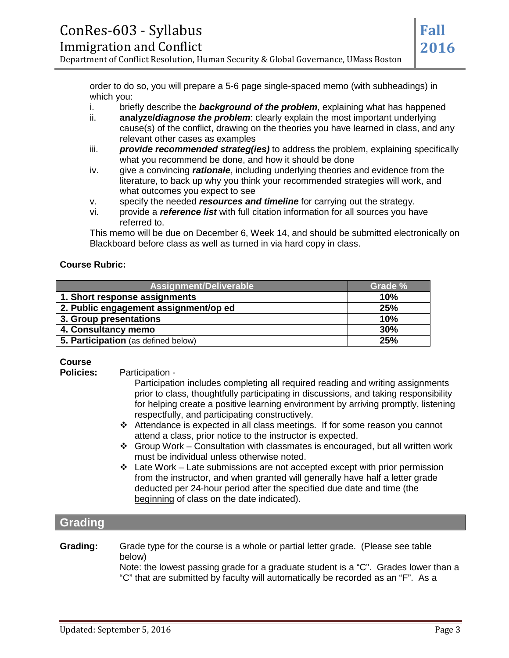order to do so, you will prepare a 5-6 page single-spaced memo (with subheadings) in which you:

- i. briefly describe the *background of the problem*, explaining what has happened
- ii. **analyze/***diagnose the problem*: clearly explain the most important underlying cause(s) of the conflict, drawing on the theories you have learned in class, and any relevant other cases as examples
- iii. *provide recommended strateg(ies)* to address the problem, explaining specifically what you recommend be done, and how it should be done
- iv. give a convincing *rationale*, including underlying theories and evidence from the literature, to back up why you think your recommended strategies will work, and what outcomes you expect to see
- v. specify the needed *resources and timeline* for carrying out the strategy.
- vi. provide a *reference list* with full citation information for all sources you have referred to.

This memo will be due on December 6, Week 14, and should be submitted electronically on Blackboard before class as well as turned in via hard copy in class.

#### **Course Rubric:**

| Assignment/Deliverable                | Grade % |
|---------------------------------------|---------|
| 1. Short response assignments         | 10%     |
| 2. Public engagement assignment/op ed | 25%     |
| 3. Group presentations                | 10%     |
| 4. Consultancy memo                   | 30%     |
| 5. Participation (as defined below)   | 25%     |

# **Course**

**Participation -**

- Participation includes completing all required reading and writing assignments prior to class, thoughtfully participating in discussions, and taking responsibility for helping create a positive learning environment by arriving promptly, listening respectfully, and participating constructively.
- Attendance is expected in all class meetings. If for some reason you cannot attend a class, prior notice to the instructor is expected.
- $\div$  Group Work Consultation with classmates is encouraged, but all written work must be individual unless otherwise noted.
- $\div$  Late Work Late submissions are not accepted except with prior permission from the instructor, and when granted will generally have half a letter grade deducted per 24-hour period after the specified due date and time (the beginning of class on the date indicated).

#### **Grading**

**Grading:** Grade type for the course is a whole or partial letter grade. (Please see table below)

Note: the lowest passing grade for a graduate student is a "C". Grades lower than a "C" that are submitted by faculty will automatically be recorded as an "F". As a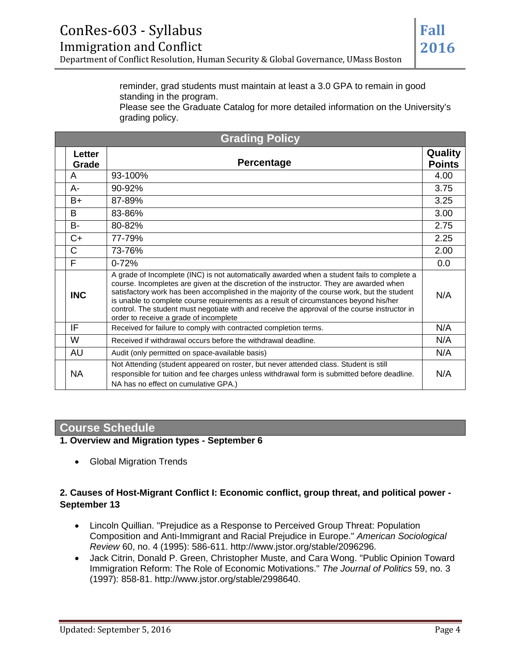Please see the Graduate Catalog for more detailed information on the University's grading policy.

| <b>Grading Policy</b> |                 |                                                                                                                                                                                                                                                                                                                                                                                                                                                                                                                            |                          |
|-----------------------|-----------------|----------------------------------------------------------------------------------------------------------------------------------------------------------------------------------------------------------------------------------------------------------------------------------------------------------------------------------------------------------------------------------------------------------------------------------------------------------------------------------------------------------------------------|--------------------------|
|                       | Letter<br>Grade | Percentage                                                                                                                                                                                                                                                                                                                                                                                                                                                                                                                 | Quality<br><b>Points</b> |
|                       | A               | 93-100%                                                                                                                                                                                                                                                                                                                                                                                                                                                                                                                    | 4.00                     |
|                       | A-              | 90-92%                                                                                                                                                                                                                                                                                                                                                                                                                                                                                                                     | 3.75                     |
|                       | B+              | 87-89%                                                                                                                                                                                                                                                                                                                                                                                                                                                                                                                     | 3.25                     |
|                       | B               | 83-86%                                                                                                                                                                                                                                                                                                                                                                                                                                                                                                                     | 3.00                     |
|                       | $B -$           | 80-82%                                                                                                                                                                                                                                                                                                                                                                                                                                                                                                                     | 2.75                     |
|                       | $C+$            | 77-79%                                                                                                                                                                                                                                                                                                                                                                                                                                                                                                                     | 2.25                     |
|                       | C               | 73-76%                                                                                                                                                                                                                                                                                                                                                                                                                                                                                                                     | 2.00                     |
|                       | F               | $0 - 72%$                                                                                                                                                                                                                                                                                                                                                                                                                                                                                                                  | 0.0                      |
|                       | <b>INC</b>      | A grade of Incomplete (INC) is not automatically awarded when a student fails to complete a<br>course. Incompletes are given at the discretion of the instructor. They are awarded when<br>satisfactory work has been accomplished in the majority of the course work, but the student<br>is unable to complete course requirements as a result of circumstances beyond his/her<br>control. The student must negotiate with and receive the approval of the course instructor in<br>order to receive a grade of incomplete | N/A                      |
|                       | IF              | Received for failure to comply with contracted completion terms.                                                                                                                                                                                                                                                                                                                                                                                                                                                           | N/A                      |
|                       | W               | Received if withdrawal occurs before the withdrawal deadline.                                                                                                                                                                                                                                                                                                                                                                                                                                                              | N/A                      |
|                       | AU              | Audit (only permitted on space-available basis)                                                                                                                                                                                                                                                                                                                                                                                                                                                                            | N/A                      |
|                       | <b>NA</b>       | Not Attending (student appeared on roster, but never attended class. Student is still<br>responsible for tuition and fee charges unless withdrawal form is submitted before deadline.<br>NA has no effect on cumulative GPA.)                                                                                                                                                                                                                                                                                              | N/A                      |

## **Course Schedule**

**1. Overview and Migration types - September 6**

• Global Migration Trends

#### **2. Causes of Host-Migrant Conflict I: Economic conflict, group threat, and political power - September 13**

- Lincoln Quillian. "Prejudice as a Response to Perceived Group Threat: Population Composition and Anti-Immigrant and Racial Prejudice in Europe." *American Sociological Review* 60, no. 4 (1995): 586-611. http://www.jstor.org/stable/2096296.
- Jack Citrin, Donald P. Green, Christopher Muste, and Cara Wong. "Public Opinion Toward Immigration Reform: The Role of Economic Motivations." *The Journal of Politics* 59, no. 3 (1997): 858-81. http://www.jstor.org/stable/2998640.

**Fall**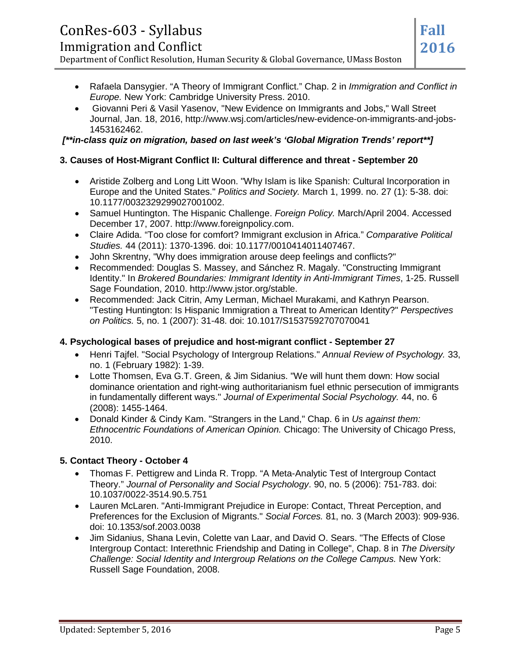# ConRes-603 - Syllabus

- Rafaela Dansygier. "A Theory of Immigrant Conflict." Chap. 2 in *Immigration and Conflict in Europe.* New York: Cambridge University Press. 2010.
- Giovanni Peri & Vasil Yasenov, "New Evidence on Immigrants and Jobs," Wall Street Journal, Jan. 18, 2016, http://www.wsj.com/articles/new-evidence-on-immigrants-and-jobs-1453162462.

*[\*\*in-class quiz on migration, based on last week's 'Global Migration Trends' report\*\*]*

# **3. Causes of Host-Migrant Conflict II: Cultural difference and threat - September 20**

- Aristide Zolberg and Long Litt Woon. "Why Islam is like Spanish: Cultural Incorporation in Europe and the United States." *Politics and Society.* March 1, 1999. no. 27 (1): 5-38. doi: 10.1177/0032329299027001002.
- Samuel Huntington. The Hispanic Challenge. *Foreign Policy.* March/April 2004. Accessed December 17, 2007. http://www.foreignpolicy.com.
- Claire Adida. "Too close for comfort? Immigrant exclusion in Africa." *Comparative Political Studies.* 44 (2011): 1370-1396. doi: 10.1177/0010414011407467.
- John Skrentny, "Why does immigration arouse deep feelings and conflicts?"
- Recommended: Douglas S. Massey, and Sánchez R. Magaly. "Constructing Immigrant Identity." In *Brokered Boundaries: Immigrant Identity in Anti-Immigrant Times*, 1-25. Russell Sage Foundation, 2010. http://www.jstor.org/stable.
- Recommended: Jack Citrin, Amy Lerman, Michael Murakami, and Kathryn Pearson. "Testing Huntington: Is Hispanic Immigration a Threat to American Identity?" *Perspectives on Politics.* 5, no. 1 (2007): 31-48. doi: 10.1017/S1537592707070041

## **4. Psychological bases of prejudice and host-migrant conflict - September 27**

- Henri Tajfel. "Social Psychology of Intergroup Relations." *Annual Review of Psychology.* 33, no. 1 (February 1982): 1-39.
- Lotte Thomsen, Eva G.T. Green, & Jim Sidanius. "We will hunt them down: How social dominance orientation and right-wing authoritarianism fuel ethnic persecution of immigrants in fundamentally different ways." *Journal of Experimental Social Psychology.* 44, no. 6 (2008): 1455-1464.
- Donald Kinder & Cindy Kam. "Strangers in the Land," Chap. 6 in *Us against them: Ethnocentric Foundations of American Opinion.* Chicago: The University of Chicago Press, 2010.

# **5. Contact Theory - October 4**

- Thomas F. Pettigrew and Linda R. Tropp. "A Meta-Analytic Test of Intergroup Contact Theory." *Journal of Personality and Social Psychology*. 90, no. 5 (2006): 751-783. doi: 10.1037/0022-3514.90.5.751
- Lauren McLaren. "Anti-Immigrant Prejudice in Europe: Contact, Threat Perception, and Preferences for the Exclusion of Migrants." *Social Forces.* 81, no. 3 (March 2003): 909-936. doi: 10.1353/sof.2003.0038
- Jim Sidanius, Shana Levin, Colette van Laar, and David O. Sears. "The Effects of Close Intergroup Contact: Interethnic Friendship and Dating in College", Chap. 8 in *The Diversity Challenge: Social Identity and Intergroup Relations on the College Campus.* New York: Russell Sage Foundation, 2008.

**Fall**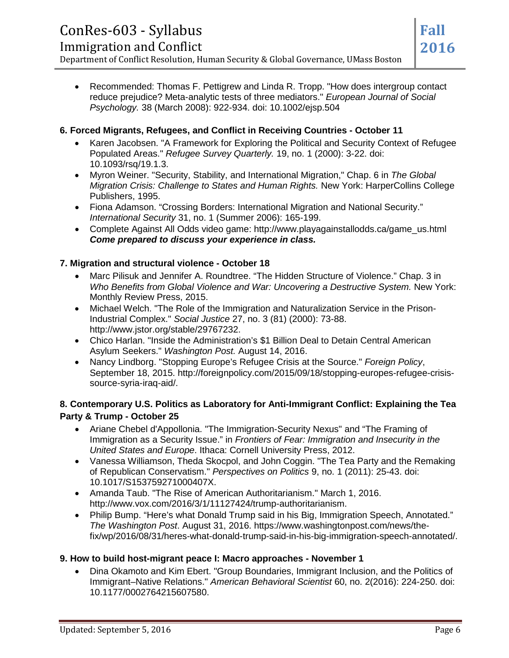• Recommended: Thomas F. Pettigrew and Linda R. Tropp. "How does intergroup contact reduce prejudice? Meta-analytic tests of three mediators." *European Journal of Social Psychology.* 38 (March 2008): 922-934. doi: 10.1002/ejsp.504

#### **6. Forced Migrants, Refugees, and Conflict in Receiving Countries - October 11**

- Karen Jacobsen. "A Framework for Exploring the Political and Security Context of Refugee Populated Areas." *Refugee Survey Quarterly.* 19, no. 1 (2000): 3-22. doi: 10.1093/rsq/19.1.3.
- Myron Weiner. "Security, Stability, and International Migration," Chap. 6 in *The Global Migration Crisis: Challenge to States and Human Rights.* New York: HarperCollins College Publishers, 1995.
- Fiona Adamson. "Crossing Borders: International Migration and National Security." *International Security* 31, no. 1 (Summer 2006): 165-199.
- Complete Against All Odds video game: http://www.playagainstallodds.ca/game\_us.html *Come prepared to discuss your experience in class.*

#### **7. Migration and structural violence - October 18**

- Marc Pilisuk and Jennifer A. Roundtree. "The Hidden Structure of Violence." Chap. 3 in *Who Benefits from Global Violence and War: Uncovering a Destructive System. New York:* Monthly Review Press, 2015.
- Michael Welch. "The Role of the Immigration and Naturalization Service in the Prison-Industrial Complex." *Social Justice* 27, no. 3 (81) (2000): 73-88. http://www.jstor.org/stable/29767232.
- Chico Harlan. "Inside the Administration's \$1 Billion Deal to Detain Central American Asylum Seekers." *Washington Post.* August 14, 2016.
- Nancy Lindborg. "Stopping Europe's Refugee Crisis at the Source." *Foreign Policy*, September 18, 2015. http://foreignpolicy.com/2015/09/18/stopping-europes-refugee-crisissource-syria-iraq-aid/.

#### **8. Contemporary U.S. Politics as Laboratory for Anti-Immigrant Conflict: Explaining the Tea Party & Trump - October 25**

- Ariane Chebel d'Appollonia. "The Immigration-Security Nexus" and "The Framing of Immigration as a Security Issue." in *Frontiers of Fear: Immigration and Insecurity in the United States and Europe*. Ithaca: Cornell University Press, 2012.
- Vanessa Williamson, Theda Skocpol, and John Coggin. "The Tea Party and the Remaking of Republican Conservatism." *Perspectives on Politics* 9, no. 1 (2011): 25-43. doi: 10.1017/S153759271000407X.
- Amanda Taub. "The Rise of American Authoritarianism." March 1, 2016. http://www.vox.com/2016/3/1/11127424/trump-authoritarianism.
- Philip Bump. "Here's what Donald Trump said in his Big, Immigration Speech, Annotated." *The Washington Post*. August 31, 2016. https://www.washingtonpost.com/news/thefix/wp/2016/08/31/heres-what-donald-trump-said-in-his-big-immigration-speech-annotated/.

#### **9. How to build host-migrant peace I: Macro approaches - November 1**

• Dina Okamoto and Kim Ebert. "Group Boundaries, Immigrant Inclusion, and the Politics of Immigrant–Native Relations." *American Behavioral Scientist* 60, no. 2(2016): 224-250. doi: 10.1177/0002764215607580.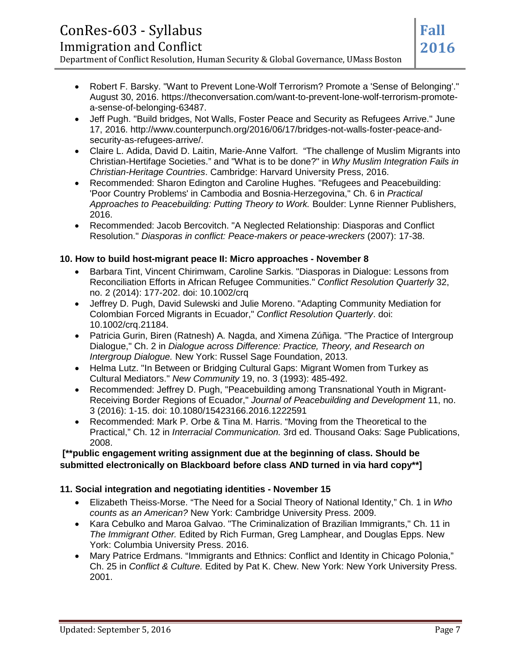#### ConRes-603 - Syllabus Immigration and Conflict Department of Conflict Resolution, Human Security & Global Governance, UMass Boston **Fall 2016**

- Robert F. Barsky. "Want to Prevent Lone-Wolf Terrorism? Promote a 'Sense of Belonging'." August 30, 2016. https://theconversation.com/want-to-prevent-lone-wolf-terrorism-promotea-sense-of-belonging-63487.
- Jeff Pugh. "Build bridges, Not Walls, Foster Peace and Security as Refugees Arrive." June 17, 2016. http://www.counterpunch.org/2016/06/17/bridges-not-walls-foster-peace-andsecurity-as-refugees-arrive/.
- Claire L. Adida, David D. Laitin, Marie-Anne Valfort. "The challenge of Muslim Migrants into Christian-Hertifage Societies." and "What is to be done?" in *Why Muslim Integration Fails in Christian-Heritage Countries*. Cambridge: Harvard University Press, 2016.
- Recommended: Sharon Edington and Caroline Hughes. "Refugees and Peacebuilding: 'Poor Country Problems' in Cambodia and Bosnia-Herzegovina," Ch. 6 in *Practical Approaches to Peacebuilding: Putting Theory to Work.* Boulder: Lynne Rienner Publishers, 2016.
- Recommended: Jacob Bercovitch. "A Neglected Relationship: Diasporas and Conflict Resolution." *Diasporas in conflict: Peace-makers or peace-wreckers* (2007): 17-38.

#### **10. How to build host-migrant peace II: Micro approaches - November 8**

- Barbara Tint, Vincent Chirimwam, Caroline Sarkis. "Diasporas in Dialogue: Lessons from Reconciliation Efforts in African Refugee Communities." *Conflict Resolution Quarterly* 32, no. 2 (2014): 177-202. doi: 10.1002/crq
- Jeffrey D. Pugh, David Sulewski and Julie Moreno. "Adapting Community Mediation for Colombian Forced Migrants in Ecuador," *Conflict Resolution Quarterly*. doi: 10.1002/crq.21184.
- Patricia Gurin, Biren (Ratnesh) A. Nagda, and Ximena Zúñiga. "The Practice of Intergroup Dialogue," Ch. 2 in *Dialogue across Difference: Practice, Theory, and Research on Intergroup Dialogue.* New York: Russel Sage Foundation, 2013.
- Helma Lutz. "In Between or Bridging Cultural Gaps: Migrant Women from Turkey as Cultural Mediators." *New Community* 19, no. 3 (1993): 485-492.
- Recommended: Jeffrey D. Pugh, "Peacebuilding among Transnational Youth in Migrant-Receiving Border Regions of Ecuador," *Journal of Peacebuilding and Development* 11, no. 3 (2016): 1-15. doi: 10.1080/15423166.2016.1222591
- Recommended: Mark P. Orbe & Tina M. Harris. "Moving from the Theoretical to the Practical," Ch. 12 in *Interracial Communication.* 3rd ed. Thousand Oaks: Sage Publications, 2008.

#### **[\*\*public engagement writing assignment due at the beginning of class. Should be submitted electronically on Blackboard before class AND turned in via hard copy\*\*]**

#### **11. Social integration and negotiating identities - November 15**

- Elizabeth Theiss-Morse. "The Need for a Social Theory of National Identity," Ch. 1 in *Who counts as an American?* New York: Cambridge University Press. 2009.
- Kara Cebulko and Maroa Galvao. "The Criminalization of Brazilian Immigrants," Ch. 11 in *The Immigrant Other.* Edited by Rich Furman, Greg Lamphear, and Douglas Epps. New York: Columbia University Press. 2016.
- Mary Patrice Erdmans. "Immigrants and Ethnics: Conflict and Identity in Chicago Polonia," Ch. 25 in *Conflict & Culture.* Edited by Pat K. Chew. New York: New York University Press. 2001.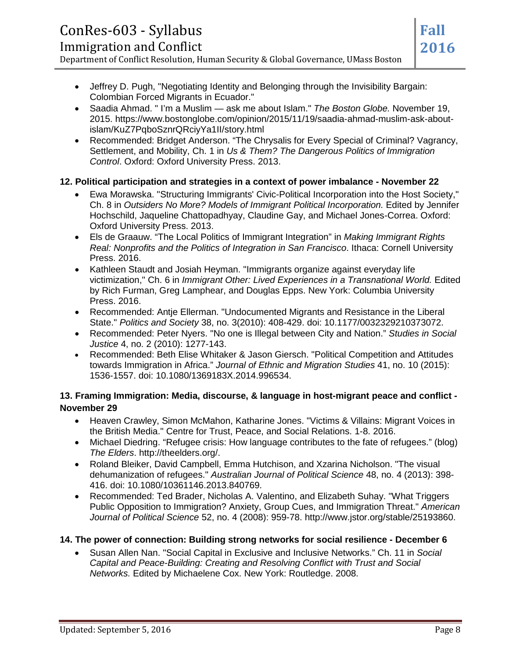- Jeffrey D. Pugh, "Negotiating Identity and Belonging through the Invisibility Bargain: Colombian Forced Migrants in Ecuador."
- Saadia Ahmad. " I'm a Muslim ask me about Islam." *The Boston Globe.* November 19, 2015. https://www.bostonglobe.com/opinion/2015/11/19/saadia-ahmad-muslim-ask-aboutislam/KuZ7PqboSznrQRciyYa1II/story.html
- Recommended: Bridget Anderson. "The Chrysalis for Every Special of Criminal? Vagrancy, Settlement, and Mobility, Ch. 1 in *Us & Them? The Dangerous Politics of Immigration Control*. Oxford: Oxford University Press. 2013.

#### **12. Political participation and strategies in a context of power imbalance - November 22**

- Ewa Morawska. "Structuring Immigrants' Civic-Political Incorporation into the Host Society," Ch. 8 in *Outsiders No More? Models of Immigrant Political Incorporation.* Edited by Jennifer Hochschild, Jaqueline Chattopadhyay, Claudine Gay, and Michael Jones-Correa. Oxford: Oxford University Press. 2013.
- Els de Graauw. "The Local Politics of Immigrant Integration" in *Making Immigrant Rights Real: Nonprofits and the Politics of Integration in San Francisco*. Ithaca: Cornell University Press. 2016.
- Kathleen Staudt and Josiah Heyman. "Immigrants organize against everyday life victimization," Ch. 6 in *Immigrant Other: Lived Experiences in a Transnational World.* Edited by Rich Furman, Greg Lamphear, and Douglas Epps. New York: Columbia University Press. 2016.
- Recommended: Antje Ellerman. "Undocumented Migrants and Resistance in the Liberal State." *Politics and Society* 38, no. 3(2010): 408-429. doi: 10.1177/0032329210373072.
- Recommended: Peter Nyers. "No one is Illegal between City and Nation." *Studies in Social Justice* 4, no. 2 (2010): 1277-143.
- Recommended: Beth Elise Whitaker & Jason Giersch. "Political Competition and Attitudes towards Immigration in Africa." *Journal of Ethnic and Migration Studies* 41, no. 10 (2015): 1536-1557. doi: 10.1080/1369183X.2014.996534.

#### **13. Framing Immigration: Media, discourse, & language in host-migrant peace and conflict - November 29**

- Heaven Crawley, Simon McMahon, Katharine Jones. "Victims & Villains: Migrant Voices in the British Media." Centre for Trust, Peace, and Social Relations. 1-8. 2016.
- Michael Diedring. "Refugee crisis: How language contributes to the fate of refugees." (blog) *The Elders*. http://theelders.org/.
- Roland Bleiker, David Campbell, Emma Hutchison, and Xzarina Nicholson. "The visual dehumanization of refugees." *Australian Journal of Political Science* 48, no. 4 (2013): 398- 416. doi: 10.1080/10361146.2013.840769.
- Recommended: Ted Brader, Nicholas A. Valentino, and Elizabeth Suhay. "What Triggers Public Opposition to Immigration? Anxiety, Group Cues, and Immigration Threat." *American Journal of Political Science* 52, no. 4 (2008): 959-78. http://www.jstor.org/stable/25193860.

#### **14. The power of connection: Building strong networks for social resilience - December 6**

• Susan Allen Nan. "Social Capital in Exclusive and Inclusive Networks." Ch. 11 in *Social Capital and Peace-Building: Creating and Resolving Conflict with Trust and Social Networks.* Edited by Michaelene Cox. New York: Routledge. 2008.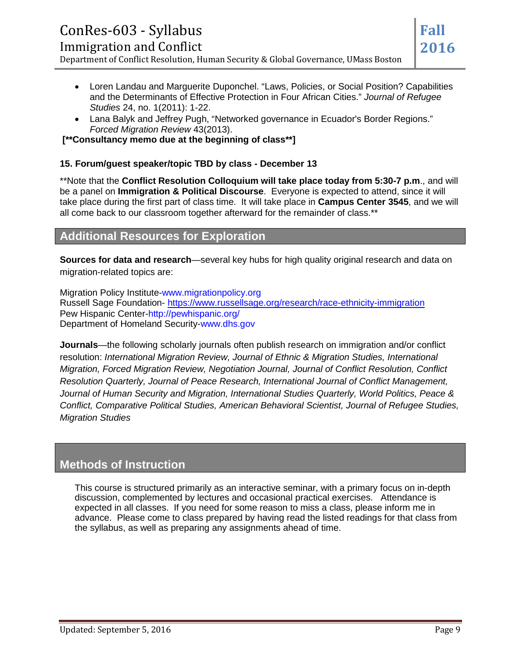# ConRes-603 - Syllabus Immigration and Conflict Department of Conflict Resolution, Human Security & Global Governance, UMass Boston

- Loren Landau and Marguerite Duponchel. "Laws, Policies, or Social Position? Capabilities and the Determinants of Effective Protection in Four African Cities." *Journal of Refugee Studies* 24, no. 1(2011): 1-22.
- Lana Balyk and Jeffrey Pugh, "Networked governance in Ecuador's Border Regions." *Forced Migration Review* 43(2013).

**[\*\*Consultancy memo due at the beginning of class\*\*]**

#### **15. Forum/guest speaker/topic TBD by class - December 13**

\*\*Note that the **Conflict Resolution Colloquium will take place today from 5:30-7 p.m**., and will be a panel on **Immigration & Political Discourse**. Everyone is expected to attend, since it will take place during the first part of class time. It will take place in **Campus Center 3545**, and we will all come back to our classroom together afterward for the remainder of class.\*\*

# **Additional Resources for Exploration**

**Sources for data and research**—several key hubs for high quality original research and data on migration-related topics are:

Migration Policy Institute-www.migrationpolicy.org Russell Sage Foundation- <https://www.russellsage.org/research/race-ethnicity-immigration> Pew Hispanic Center-http://pewhispanic.org/ Department of Homeland Security-www.dhs.gov

**Journals**—the following scholarly journals often publish research on immigration and/or conflict resolution: *International Migration Review, Journal of Ethnic & Migration Studies, International Migration, Forced Migration Review, Negotiation Journal, Journal of Conflict Resolution, Conflict Resolution Quarterly, Journal of Peace Research, International Journal of Conflict Management, Journal of Human Security and Migration, International Studies Quarterly, World Politics, Peace & Conflict, Comparative Political Studies, American Behavioral Scientist, Journal of Refugee Studies, Migration Studies*

# **Methods of Instruction**

This course is structured primarily as an interactive seminar, with a primary focus on in-depth discussion, complemented by lectures and occasional practical exercises. Attendance is expected in all classes. If you need for some reason to miss a class, please inform me in advance. Please come to class prepared by having read the listed readings for that class from the syllabus, as well as preparing any assignments ahead of time.

**Fall**